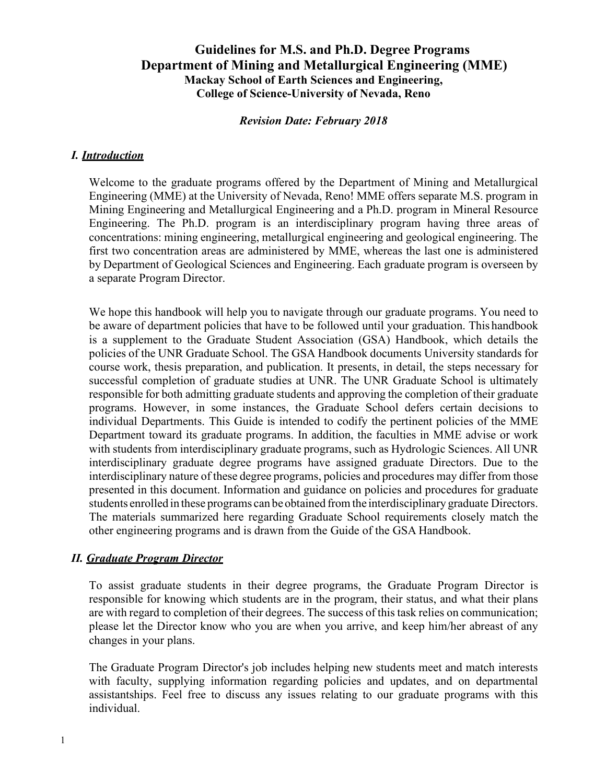## **Guidelines for M.S. and Ph.D. Degree Programs Department of Mining and Metallurgical Engineering (MME) Mackay School of Earth Sciences and Engineering, College of Science-University of Nevada, Reno**

## *Revision Date: February 2018*

## *I. Introduction*

Welcome to the graduate programs offered by the Department of Mining and Metallurgical Engineering (MME) at the University of Nevada, Reno! MME offers separate M.S. program in Mining Engineering and Metallurgical Engineering and a Ph.D. program in Mineral Resource Engineering. The Ph.D. program is an interdisciplinary program having three areas of concentrations: mining engineering, metallurgical engineering and geological engineering. The first two concentration areas are administered by MME, whereas the last one is administered by Department of Geological Sciences and Engineering. Each graduate program is overseen by a separate Program Director.

We hope this handbook will help you to navigate through our graduate programs. You need to be aware of department policies that have to be followed until your graduation. This handbook is a supplement to the Graduate Student Association (GSA) Handbook, which details the policies of the UNR Graduate School. The GSA Handbook documents University standards for course work, thesis preparation, and publication. It presents, in detail, the steps necessary for successful completion of graduate studies at UNR. The UNR Graduate School is ultimately responsible for both admitting graduate students and approving the completion of their graduate programs. However, in some instances, the Graduate School defers certain decisions to individual Departments. This Guide is intended to codify the pertinent policies of the MME Department toward its graduate programs. In addition, the faculties in MME advise or work with students from interdisciplinary graduate programs, such as Hydrologic Sciences. All UNR interdisciplinary graduate degree programs have assigned graduate Directors. Due to the interdisciplinary nature of these degree programs, policies and procedures may differ from those presented in this document. Information and guidance on policies and procedures for graduate students enrolled in these programs can be obtained fromthe interdisciplinary graduate Directors. The materials summarized here regarding Graduate School requirements closely match the other engineering programs and is drawn from the Guide of the GSA Handbook.

## *II. Graduate Program Director*

To assist graduate students in their degree programs, the Graduate Program Director is responsible for knowing which students are in the program, their status, and what their plans are with regard to completion of their degrees. The success of this task relies on communication; please let the Director know who you are when you arrive, and keep him/her abreast of any changes in your plans.

The Graduate Program Director's job includes helping new students meet and match interests with faculty, supplying information regarding policies and updates, and on departmental assistantships. Feel free to discuss any issues relating to our graduate programs with this individual.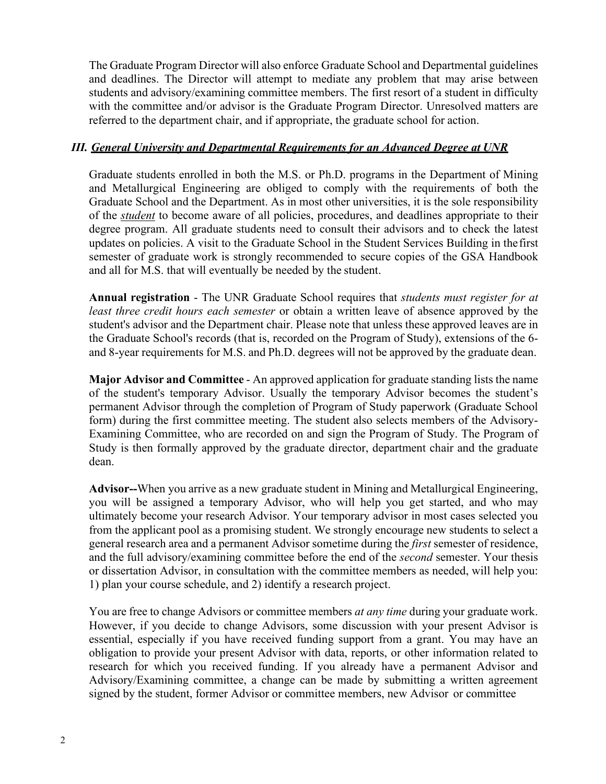The Graduate Program Director will also enforce Graduate School and Departmental guidelines and deadlines. The Director will attempt to mediate any problem that may arise between students and advisory/examining committee members. The first resort of a student in difficulty with the committee and/or advisor is the Graduate Program Director. Unresolved matters are referred to the department chair, and if appropriate, the graduate school for action.

## *III. General University and Departmental Requirements for an Advanced Degree at UNR*

Graduate students enrolled in both the M.S. or Ph.D. programs in the Department of Mining and Metallurgical Engineering are obliged to comply with the requirements of both the Graduate School and the Department. As in most other universities, it is the sole responsibility of the *student* to become aware of all policies, procedures, and deadlines appropriate to their degree program. All graduate students need to consult their advisors and to check the latest updates on policies. A visit to the Graduate School in the Student Services Building in thefirst semester of graduate work is strongly recommended to secure copies of the GSA Handbook and all for M.S. that will eventually be needed by the student.

**Annual registration** - The UNR Graduate School requires that *students must register for at least three credit hours each semester* or obtain a written leave of absence approved by the student's advisor and the Department chair. Please note that unless these approved leaves are in the Graduate School's records (that is, recorded on the Program of Study), extensions of the 6 and 8-year requirements for M.S. and Ph.D. degrees will not be approved by the graduate dean.

**Major Advisor and Committee** - An approved application for graduate standing lists the name of the student's temporary Advisor. Usually the temporary Advisor becomes the student's permanent Advisor through the completion of Program of Study paperwork (Graduate School form) during the first committee meeting. The student also selects members of the Advisory-Examining Committee, who are recorded on and sign the Program of Study. The Program of Study is then formally approved by the graduate director, department chair and the graduate dean.

**Advisor--**When you arrive as a new graduate student in Mining and Metallurgical Engineering, you will be assigned a temporary Advisor, who will help you get started, and who may ultimately become your research Advisor. Your temporary advisor in most cases selected you from the applicant pool as a promising student. We strongly encourage new students to select a general research area and a permanent Advisor sometime during the *first* semester of residence, and the full advisory/examining committee before the end of the *second* semester. Your thesis or dissertation Advisor, in consultation with the committee members as needed, will help you: 1) plan your course schedule, and 2) identify a research project.

You are free to change Advisors or committee members *at any time* during your graduate work. However, if you decide to change Advisors, some discussion with your present Advisor is essential, especially if you have received funding support from a grant. You may have an obligation to provide your present Advisor with data, reports, or other information related to research for which you received funding. If you already have a permanent Advisor and Advisory/Examining committee, a change can be made by submitting a written agreement signed by the student, former Advisor or committee members, new Advisor or committee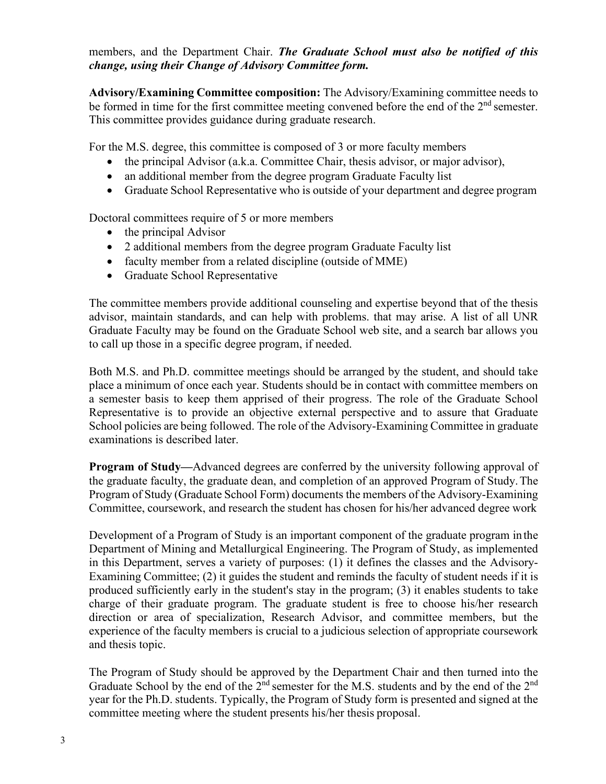members, and the Department Chair. *The Graduate School must also be notified of this change, using their Change of Advisory Committee form.*

**Advisory/Examining Committee composition:** The Advisory/Examining committee needs to be formed in time for the first committee meeting convened before the end of the  $2<sup>nd</sup>$  semester. This committee provides guidance during graduate research.

For the M.S. degree, this committee is composed of 3 or more faculty members

- the principal Advisor (a.k.a. Committee Chair, thesis advisor, or major advisor),
- an additional member from the degree program Graduate Faculty list
- Graduate School Representative who is outside of your department and degree program

Doctoral committees require of 5 or more members

- the principal Advisor
- 2 additional members from the degree program Graduate Faculty list
- faculty member from a related discipline (outside of MME)
- Graduate School Representative

The committee members provide additional counseling and expertise beyond that of the thesis advisor, maintain standards, and can help with problems. that may arise. A list of all UNR Graduate Faculty may be found on the Graduate School web site, and a search bar allows you to call up those in a specific degree program, if needed.

Both M.S. and Ph.D. committee meetings should be arranged by the student, and should take place a minimum of once each year. Students should be in contact with committee members on a semester basis to keep them apprised of their progress. The role of the Graduate School Representative is to provide an objective external perspective and to assure that Graduate School policies are being followed. The role of the Advisory-Examining Committee in graduate examinations is described later.

**Program of Study—**Advanced degrees are conferred by the university following approval of the graduate faculty, the graduate dean, and completion of an approved Program of Study.The Program of Study (Graduate School Form) documents the members of the Advisory-Examining Committee, coursework, and research the student has chosen for his/her advanced degree work

Development of a Program of Study is an important component of the graduate program inthe Department of Mining and Metallurgical Engineering. The Program of Study, as implemented in this Department, serves a variety of purposes: (1) it defines the classes and the Advisory-Examining Committee; (2) it guides the student and reminds the faculty of student needs if it is produced sufficiently early in the student's stay in the program; (3) it enables students to take charge of their graduate program. The graduate student is free to choose his/her research direction or area of specialization, Research Advisor, and committee members, but the experience of the faculty members is crucial to a judicious selection of appropriate coursework and thesis topic.

The Program of Study should be approved by the Department Chair and then turned into the Graduate School by the end of the  $2<sup>nd</sup>$  semester for the M.S. students and by the end of the  $2<sup>nd</sup>$ year for the Ph.D. students. Typically, the Program of Study form is presented and signed at the committee meeting where the student presents his/her thesis proposal.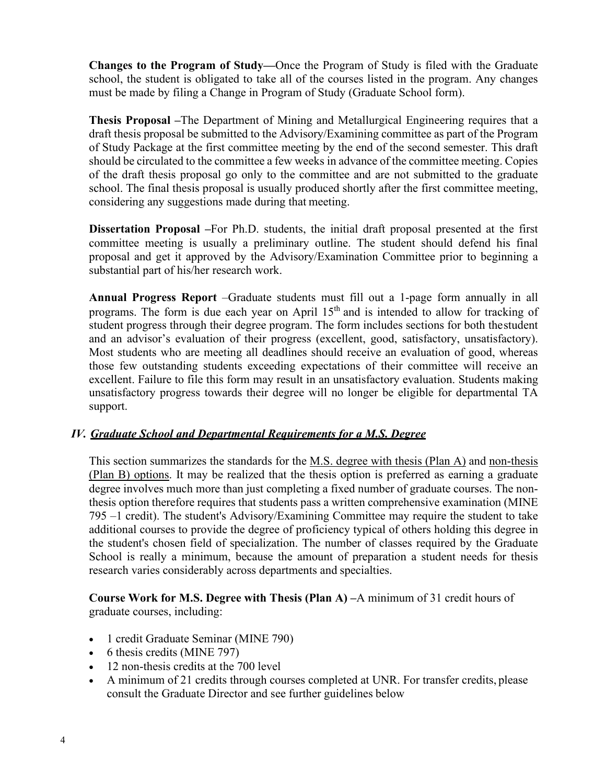**Changes to the Program of Study—**Once the Program of Study is filed with the Graduate school, the student is obligated to take all of the courses listed in the program. Any changes must be made by filing a Change in Program of Study (Graduate School form).

**Thesis Proposal –**The Department of Mining and Metallurgical Engineering requires that a draft thesis proposal be submitted to the Advisory/Examining committee as part of the Program of Study Package at the first committee meeting by the end of the second semester. This draft should be circulated to the committee a few weeks in advance of the committee meeting. Copies of the draft thesis proposal go only to the committee and are not submitted to the graduate school. The final thesis proposal is usually produced shortly after the first committee meeting, considering any suggestions made during that meeting.

**Dissertation Proposal –**For Ph.D. students, the initial draft proposal presented at the first committee meeting is usually a preliminary outline. The student should defend his final proposal and get it approved by the Advisory/Examination Committee prior to beginning a substantial part of his/her research work.

**Annual Progress Report** –Graduate students must fill out a 1-page form annually in all programs. The form is due each year on April  $15<sup>th</sup>$  and is intended to allow for tracking of student progress through their degree program. The form includes sections for both thestudent and an advisor's evaluation of their progress (excellent, good, satisfactory, unsatisfactory). Most students who are meeting all deadlines should receive an evaluation of good, whereas those few outstanding students exceeding expectations of their committee will receive an excellent. Failure to file this form may result in an unsatisfactory evaluation. Students making unsatisfactory progress towards their degree will no longer be eligible for departmental TA support.

## *IV. Graduate School and Departmental Requirements for a M.S. Degree*

This section summarizes the standards for the M.S. degree with thesis (Plan A) and non-thesis (Plan B) options. It may be realized that the thesis option is preferred as earning a graduate degree involves much more than just completing a fixed number of graduate courses. The nonthesis option therefore requires that students pass a written comprehensive examination (MINE 795 –1 credit). The student's Advisory/Examining Committee may require the student to take additional courses to provide the degree of proficiency typical of others holding this degree in the student's chosen field of specialization. The number of classes required by the Graduate School is really a minimum, because the amount of preparation a student needs for thesis research varies considerably across departments and specialties.

**Course Work for M.S. Degree with Thesis (Plan A) –**A minimum of 31 credit hours of graduate courses, including:

- 1 credit Graduate Seminar (MINE 790)
- 6 thesis credits (MINE 797)
- 12 non-thesis credits at the 700 level
- A minimum of 21 credits through courses completed at UNR. For transfer credits, please consult the Graduate Director and see further guidelines below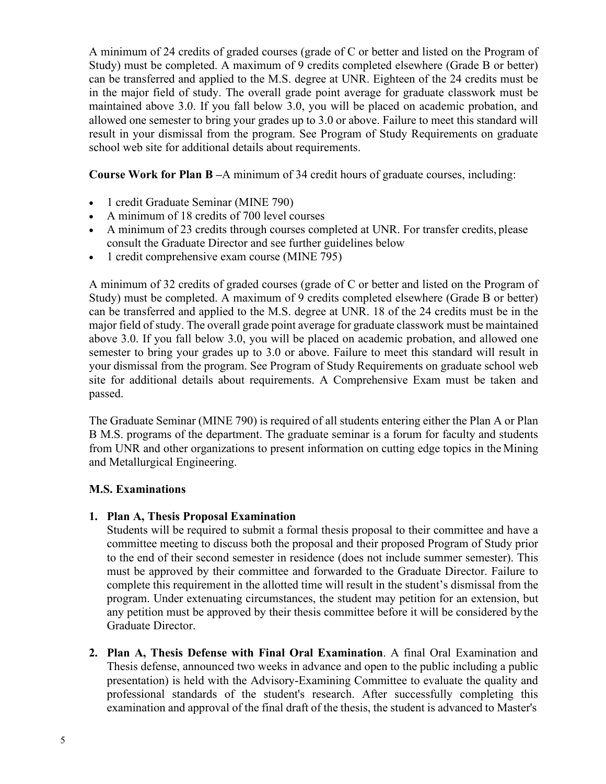A minimum of 24 credits of graded courses (grade of C or better and listed on the Program of Study) must be completed. A maximum of 9 credits completed elsewhere (Grade B or better) can be transferred and applied to the M.S. degree at UNR. Eighteen of the 24 credits must be in the major field of study. The overall grade point average for graduate classwork must be maintained above 3.0. If you fall below 3.0, you will be placed on academic probation, and allowed one semester to bring your grades up to 3.0 or above. Failure to meet this standard will result in your dismissal from the program. See Program of Study Requirements on graduate school web site for additional details about requirements.

**Course Work for Plan B –**A minimum of 34 credit hours of graduate courses, including:

- 1 credit Graduate Seminar (MINE 790)
- A minimum of 18 credits of 700 level courses
- A minimum of 23 credits through courses completed at UNR. For transfer credits, please consult the Graduate Director and see further guidelines below
- 1 credit comprehensive exam course (MINE 795)

A minimum of 32 credits of graded courses (grade of C or better and listed on the Program of Study) must be completed. A maximum of 9 credits completed elsewhere (Grade B or better) can be transferred and applied to the M.S. degree at UNR. 18 of the 24 credits must be in the major field of study. The overall grade point average for graduate classwork must be maintained above 3.0. If you fall below 3.0, you will be placed on academic probation, and allowed one semester to bring your grades up to 3.0 or above. Failure to meet this standard will result in your dismissal from the program. See Program of Study Requirements on graduate school web site for additional details about requirements. A Comprehensive Exam must be taken and passed.

The Graduate Seminar (MINE 790) is required of all students entering either the Plan A or Plan B M.S. programs of the department. The graduate seminar is a forum for faculty and students from UNR and other organizations to present information on cutting edge topics in the Mining and Metallurgical Engineering.

## **M.S. Examinations**

## **1. Plan A, Thesis Proposal Examination**

Students will be required to submit a formal thesis proposal to their committee and have a committee meeting to discuss both the proposal and their proposed Program of Study prior to the end of their second semester in residence (does not include summer semester). This must be approved by their committee and forwarded to the Graduate Director. Failure to complete this requirement in the allotted time will result in the student's dismissal from the program. Under extenuating circumstances, the student may petition for an extension, but any petition must be approved by their thesis committee before it will be considered bythe Graduate Director.

**2. Plan A, Thesis Defense with Final Oral Examination**. A final Oral Examination and Thesis defense, announced two weeks in advance and open to the public including a public presentation) is held with the Advisory-Examining Committee to evaluate the quality and professional standards of the student's research. After successfully completing this examination and approval of the final draft of the thesis, the student is advanced to Master's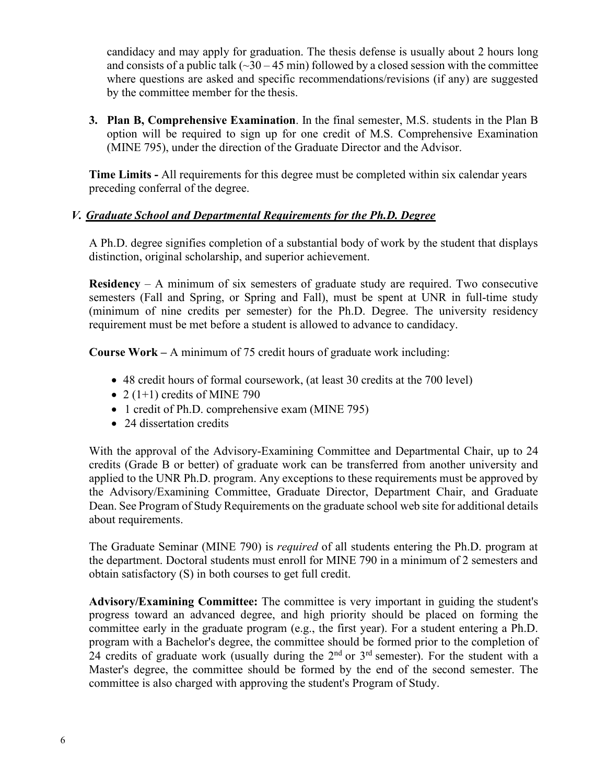candidacy and may apply for graduation. The thesis defense is usually about 2 hours long and consists of a public talk  $(\sim]30 - 45$  min) followed by a closed session with the committee where questions are asked and specific recommendations/revisions (if any) are suggested by the committee member for the thesis.

**3. Plan B, Comprehensive Examination**. In the final semester, M.S. students in the Plan B option will be required to sign up for one credit of M.S. Comprehensive Examination (MINE 795), under the direction of the Graduate Director and the Advisor.

**Time Limits -** All requirements for this degree must be completed within six calendar years preceding conferral of the degree.

## *V. Graduate School and Departmental Requirements for the Ph.D. Degree*

A Ph.D. degree signifies completion of a substantial body of work by the student that displays distinction, original scholarship, and superior achievement.

**Residency** – A minimum of six semesters of graduate study are required. Two consecutive semesters (Fall and Spring, or Spring and Fall), must be spent at UNR in full-time study (minimum of nine credits per semester) for the Ph.D. Degree. The university residency requirement must be met before a student is allowed to advance to candidacy.

**Course Work –** A minimum of 75 credit hours of graduate work including:

- 48 credit hours of formal coursework, (at least 30 credits at the 700 level)
- 2 (1+1) credits of MINE 790
- 1 credit of Ph.D. comprehensive exam (MINE 795)
- 24 dissertation credits

With the approval of the Advisory-Examining Committee and Departmental Chair, up to 24 credits (Grade B or better) of graduate work can be transferred from another university and applied to the UNR Ph.D. program. Any exceptions to these requirements must be approved by the Advisory/Examining Committee, Graduate Director, Department Chair, and Graduate Dean. See Program of Study Requirements on the graduate school web site for additional details about requirements.

The Graduate Seminar (MINE 790) is *required* of all students entering the Ph.D. program at the department. Doctoral students must enroll for MINE 790 in a minimum of 2 semesters and obtain satisfactory (S) in both courses to get full credit.

**Advisory/Examining Committee:** The committee is very important in guiding the student's progress toward an advanced degree, and high priority should be placed on forming the committee early in the graduate program (e.g., the first year). For a student entering a Ph.D. program with a Bachelor's degree, the committee should be formed prior to the completion of 24 credits of graduate work (usually during the  $2<sup>nd</sup>$  or  $3<sup>rd</sup>$  semester). For the student with a Master's degree, the committee should be formed by the end of the second semester. The committee is also charged with approving the student's Program of Study.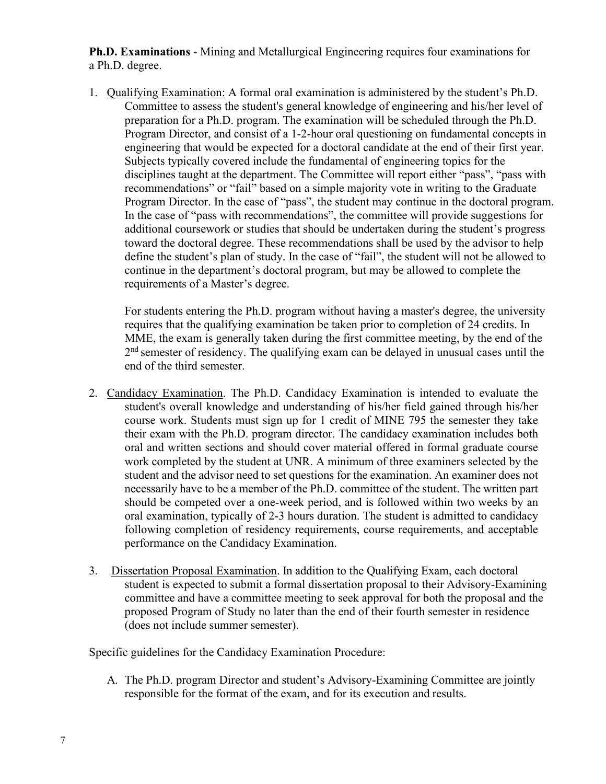**Ph.D. Examinations** - Mining and Metallurgical Engineering requires four examinations for a Ph.D. degree.

1. Qualifying Examination: A formal oral examination is administered by the student's Ph.D. Committee to assess the student's general knowledge of engineering and his/her level of preparation for a Ph.D. program. The examination will be scheduled through the Ph.D. Program Director, and consist of a 1-2-hour oral questioning on fundamental concepts in engineering that would be expected for a doctoral candidate at the end of their first year. Subjects typically covered include the fundamental of engineering topics for the disciplines taught at the department. The Committee will report either "pass", "pass with recommendations" or "fail" based on a simple majority vote in writing to the Graduate Program Director. In the case of "pass", the student may continue in the doctoral program. In the case of "pass with recommendations", the committee will provide suggestions for additional coursework or studies that should be undertaken during the student's progress toward the doctoral degree. These recommendations shall be used by the advisor to help define the student's plan of study. In the case of "fail", the student will not be allowed to continue in the department's doctoral program, but may be allowed to complete the requirements of a Master's degree.

For students entering the Ph.D. program without having a master's degree, the university requires that the qualifying examination be taken prior to completion of 24 credits. In MME, the exam is generally taken during the first committee meeting, by the end of the  $2<sup>nd</sup>$  semester of residency. The qualifying exam can be delayed in unusual cases until the end of the third semester.

- 2. Candidacy Examination. The Ph.D. Candidacy Examination is intended to evaluate the student's overall knowledge and understanding of his/her field gained through his/her course work. Students must sign up for 1 credit of MINE 795 the semester they take their exam with the Ph.D. program director. The candidacy examination includes both oral and written sections and should cover material offered in formal graduate course work completed by the student at UNR. A minimum of three examiners selected by the student and the advisor need to set questions for the examination. An examiner does not necessarily have to be a member of the Ph.D. committee of the student. The written part should be competed over a one-week period, and is followed within two weeks by an oral examination, typically of 2-3 hours duration. The student is admitted to candidacy following completion of residency requirements, course requirements, and acceptable performance on the Candidacy Examination.
- 3. Dissertation Proposal Examination. In addition to the Qualifying Exam, each doctoral student is expected to submit a formal dissertation proposal to their Advisory-Examining committee and have a committee meeting to seek approval for both the proposal and the proposed Program of Study no later than the end of their fourth semester in residence (does not include summer semester).

Specific guidelines for the Candidacy Examination Procedure:

A. The Ph.D. program Director and student's Advisory-Examining Committee are jointly responsible for the format of the exam, and for its execution and results.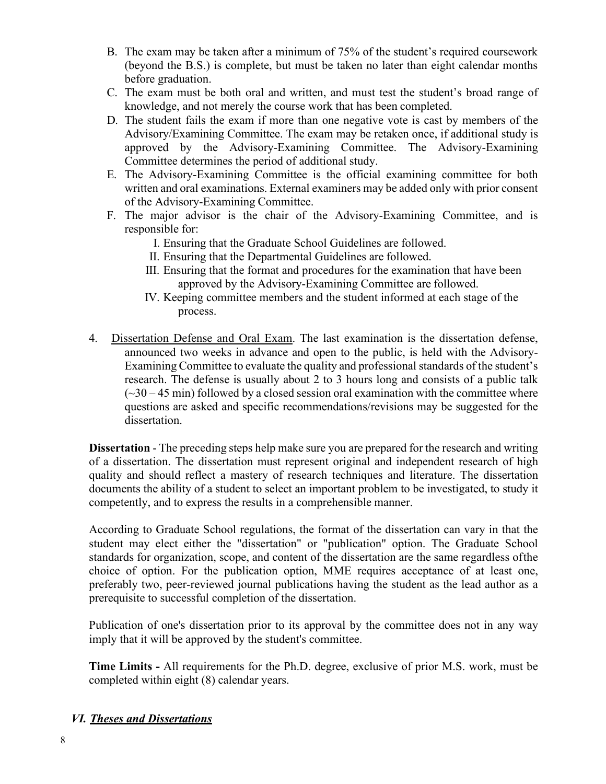- B. The exam may be taken after a minimum of 75% of the student's required coursework (beyond the B.S.) is complete, but must be taken no later than eight calendar months before graduation.
- C. The exam must be both oral and written, and must test the student's broad range of knowledge, and not merely the course work that has been completed.
- D. The student fails the exam if more than one negative vote is cast by members of the Advisory/Examining Committee. The exam may be retaken once, if additional study is approved by the Advisory-Examining Committee. The Advisory-Examining Committee determines the period of additional study.
- E. The Advisory-Examining Committee is the official examining committee for both written and oral examinations. External examiners may be added only with prior consent of the Advisory-Examining Committee.
- F. The major advisor is the chair of the Advisory-Examining Committee, and is responsible for:
	- I. Ensuring that the Graduate School Guidelines are followed.
	- II. Ensuring that the Departmental Guidelines are followed.
	- III. Ensuring that the format and procedures for the examination that have been approved by the Advisory-Examining Committee are followed.
	- IV. Keeping committee members and the student informed at each stage of the process.
- 4. Dissertation Defense and Oral Exam. The last examination is the dissertation defense, announced two weeks in advance and open to the public, is held with the Advisory-Examining Committee to evaluate the quality and professional standards of the student's research. The defense is usually about 2 to 3 hours long and consists of a public talk  $(\sim 30 - 45$  min) followed by a closed session oral examination with the committee where questions are asked and specific recommendations/revisions may be suggested for the dissertation.

**Dissertation** - The preceding steps help make sure you are prepared for the research and writing of a dissertation. The dissertation must represent original and independent research of high quality and should reflect a mastery of research techniques and literature. The dissertation documents the ability of a student to select an important problem to be investigated, to study it competently, and to express the results in a comprehensible manner.

According to Graduate School regulations, the format of the dissertation can vary in that the student may elect either the "dissertation" or "publication" option. The Graduate School standards for organization, scope, and content of the dissertation are the same regardless ofthe choice of option. For the publication option, MME requires acceptance of at least one, preferably two, peer-reviewed journal publications having the student as the lead author as a prerequisite to successful completion of the dissertation.

Publication of one's dissertation prior to its approval by the committee does not in any way imply that it will be approved by the student's committee.

**Time Limits -** All requirements for the Ph.D. degree, exclusive of prior M.S. work, must be completed within eight (8) calendar years.

## *VI. Theses and Dissertations*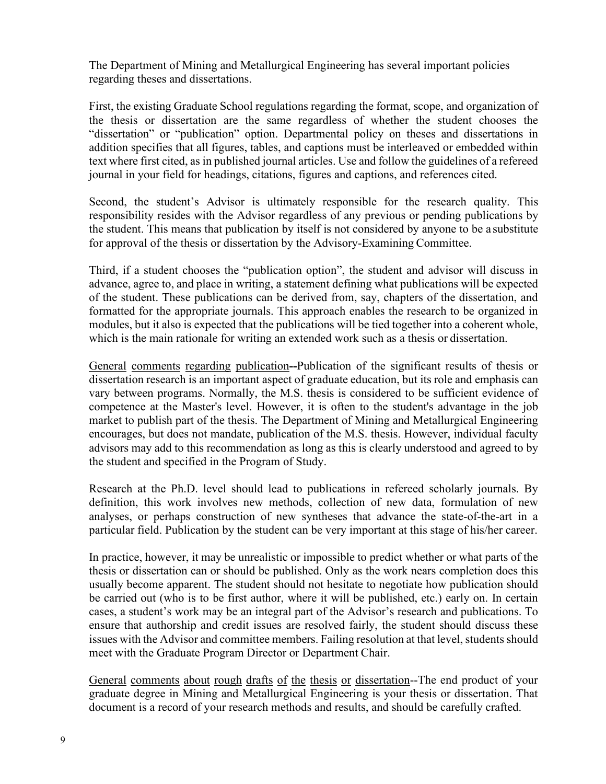The Department of Mining and Metallurgical Engineering has several important policies regarding theses and dissertations.

First, the existing Graduate School regulations regarding the format, scope, and organization of the thesis or dissertation are the same regardless of whether the student chooses the "dissertation" or "publication" option. Departmental policy on theses and dissertations in addition specifies that all figures, tables, and captions must be interleaved or embedded within text where first cited, as in published journal articles. Use and follow the guidelines of a refereed journal in your field for headings, citations, figures and captions, and references cited.

Second, the student's Advisor is ultimately responsible for the research quality. This responsibility resides with the Advisor regardless of any previous or pending publications by the student. This means that publication by itself is not considered by anyone to be a substitute for approval of the thesis or dissertation by the Advisory-Examining Committee.

Third, if a student chooses the "publication option", the student and advisor will discuss in advance, agree to, and place in writing, a statement defining what publications will be expected of the student. These publications can be derived from, say, chapters of the dissertation, and formatted for the appropriate journals. This approach enables the research to be organized in modules, but it also is expected that the publications will be tied together into a coherent whole, which is the main rationale for writing an extended work such as a thesis or dissertation.

General comments regarding publication**--**Publication of the significant results of thesis or dissertation research is an important aspect of graduate education, but its role and emphasis can vary between programs. Normally, the M.S. thesis is considered to be sufficient evidence of competence at the Master's level. However, it is often to the student's advantage in the job market to publish part of the thesis. The Department of Mining and Metallurgical Engineering encourages, but does not mandate, publication of the M.S. thesis. However, individual faculty advisors may add to this recommendation as long as this is clearly understood and agreed to by the student and specified in the Program of Study.

Research at the Ph.D. level should lead to publications in refereed scholarly journals. By definition, this work involves new methods, collection of new data, formulation of new analyses, or perhaps construction of new syntheses that advance the state-of-the-art in a particular field. Publication by the student can be very important at this stage of his/her career.

In practice, however, it may be unrealistic or impossible to predict whether or what parts of the thesis or dissertation can or should be published. Only as the work nears completion does this usually become apparent. The student should not hesitate to negotiate how publication should be carried out (who is to be first author, where it will be published, etc.) early on. In certain cases, a student's work may be an integral part of the Advisor's research and publications. To ensure that authorship and credit issues are resolved fairly, the student should discuss these issues with the Advisor and committee members. Failing resolution at that level, students should meet with the Graduate Program Director or Department Chair.

General comments about rough drafts of the thesis or dissertation--The end product of your graduate degree in Mining and Metallurgical Engineering is your thesis or dissertation. That document is a record of your research methods and results, and should be carefully crafted.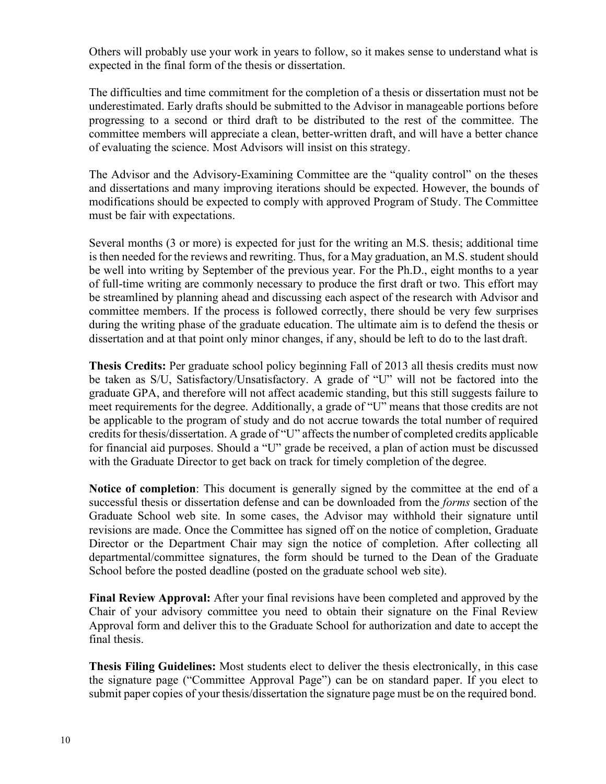Others will probably use your work in years to follow, so it makes sense to understand what is expected in the final form of the thesis or dissertation.

The difficulties and time commitment for the completion of a thesis or dissertation must not be underestimated. Early drafts should be submitted to the Advisor in manageable portions before progressing to a second or third draft to be distributed to the rest of the committee. The committee members will appreciate a clean, better-written draft, and will have a better chance of evaluating the science. Most Advisors will insist on this strategy.

The Advisor and the Advisory-Examining Committee are the "quality control" on the theses and dissertations and many improving iterations should be expected. However, the bounds of modifications should be expected to comply with approved Program of Study. The Committee must be fair with expectations.

Several months (3 or more) is expected for just for the writing an M.S. thesis; additional time is then needed for the reviews and rewriting. Thus, for a May graduation, an M.S. student should be well into writing by September of the previous year. For the Ph.D., eight months to a year of full-time writing are commonly necessary to produce the first draft or two. This effort may be streamlined by planning ahead and discussing each aspect of the research with Advisor and committee members. If the process is followed correctly, there should be very few surprises during the writing phase of the graduate education. The ultimate aim is to defend the thesis or dissertation and at that point only minor changes, if any, should be left to do to the last draft.

**Thesis Credits:** Per graduate school policy beginning Fall of 2013 all thesis credits must now be taken as S/U, Satisfactory/Unsatisfactory. A grade of "U" will not be factored into the graduate GPA, and therefore will not affect academic standing, but this still suggests failure to meet requirements for the degree. Additionally, a grade of "U" means that those credits are not be applicable to the program of study and do not accrue towards the total number of required credits for thesis/dissertation. A grade of "U" affects the number of completed credits applicable for financial aid purposes. Should a "U" grade be received, a plan of action must be discussed with the Graduate Director to get back on track for timely completion of the degree.

**Notice of completion**: This document is generally signed by the committee at the end of a successful thesis or dissertation defense and can be downloaded from the *forms* section of the Graduate School web site. In some cases, the Advisor may withhold their signature until revisions are made. Once the Committee has signed off on the notice of completion, Graduate Director or the Department Chair may sign the notice of completion. After collecting all departmental/committee signatures, the form should be turned to the Dean of the Graduate School before the posted deadline (posted on the graduate school web site).

**Final Review Approval:** After your final revisions have been completed and approved by the Chair of your advisory committee you need to obtain their signature on the Final Review Approval form and deliver this to the Graduate School for authorization and date to accept the final thesis.

**Thesis Filing Guidelines:** Most students elect to deliver the thesis electronically, in this case the signature page ("Committee Approval Page") can be on standard paper. If you elect to submit paper copies of your thesis/dissertation the signature page must be on the required bond.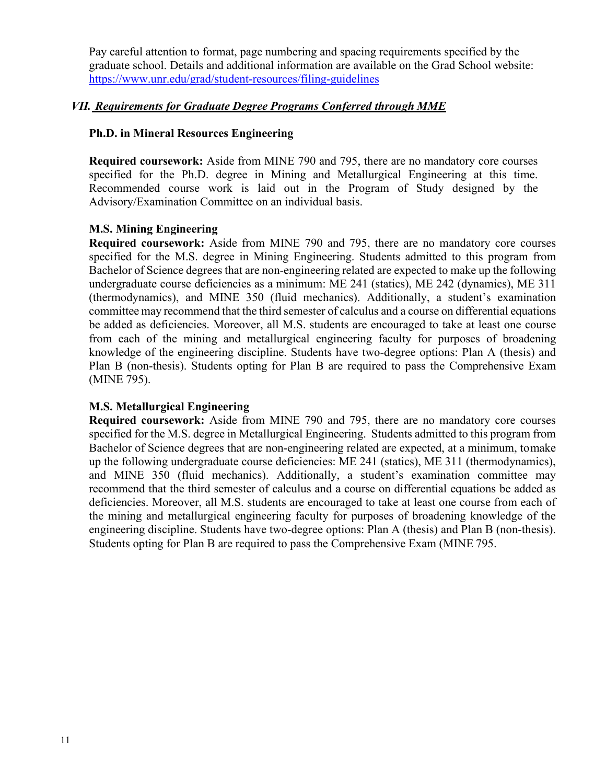Pay careful attention to format, page numbering and spacing requirements specified by the graduate school. Details and additional information are available on the Grad School website: <https://www.unr.edu/grad/student-resources/filing-guidelines>

## *VII. Requirements for Graduate Degree Programs Conferred through MME*

## **Ph.D. in Mineral Resources Engineering**

**Required coursework:** Aside from MINE 790 and 795, there are no mandatory core courses specified for the Ph.D. degree in Mining and Metallurgical Engineering at this time. Recommended course work is laid out in the Program of Study designed by the Advisory/Examination Committee on an individual basis.

## **M.S. Mining Engineering**

**Required coursework:** Aside from MINE 790 and 795, there are no mandatory core courses specified for the M.S. degree in Mining Engineering. Students admitted to this program from Bachelor of Science degrees that are non-engineering related are expected to make up the following undergraduate course deficiencies as a minimum: ME 241 (statics), ME 242 (dynamics), ME 311 (thermodynamics), and MINE 350 (fluid mechanics). Additionally, a student's examination committee may recommend that the third semester of calculus and a course on differential equations be added as deficiencies. Moreover, all M.S. students are encouraged to take at least one course from each of the mining and metallurgical engineering faculty for purposes of broadening knowledge of the engineering discipline. Students have two-degree options: Plan A (thesis) and Plan B (non-thesis). Students opting for Plan B are required to pass the Comprehensive Exam (MINE 795).

## **M.S. Metallurgical Engineering**

**Required coursework:** Aside from MINE 790 and 795, there are no mandatory core courses specified for the M.S. degree in Metallurgical Engineering. Students admitted to this program from Bachelor of Science degrees that are non-engineering related are expected, at a minimum, tomake up the following undergraduate course deficiencies: ME 241 (statics), ME 311 (thermodynamics), and MINE 350 (fluid mechanics). Additionally, a student's examination committee may recommend that the third semester of calculus and a course on differential equations be added as deficiencies. Moreover, all M.S. students are encouraged to take at least one course from each of the mining and metallurgical engineering faculty for purposes of broadening knowledge of the engineering discipline. Students have two-degree options: Plan A (thesis) and Plan B (non-thesis). Students opting for Plan B are required to pass the Comprehensive Exam (MINE 795.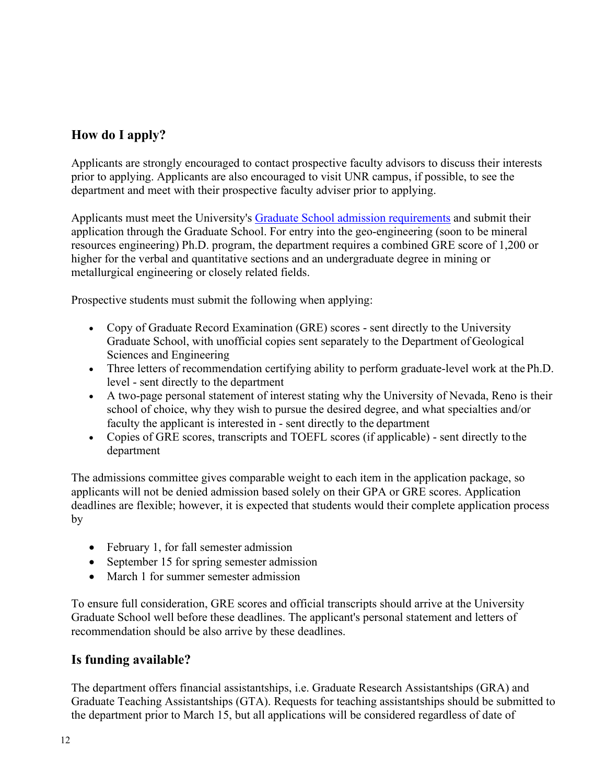# **How do I apply?**

Applicants are strongly encouraged to contact prospective faculty advisors to discuss their interests prior to applying. Applicants are also encouraged to visit UNR campus, if possible, to see the department and meet with their prospective faculty adviser prior to applying.

Applicants must meet the University's [Graduate School admission requirements](https://www.unr.edu/grad/admissions) and submit their application through the Graduate School. For entry into the geo-engineering (soon to be mineral resources engineering) Ph.D. program, the department requires a combined GRE score of 1,200 or higher for the verbal and quantitative sections and an undergraduate degree in mining or metallurgical engineering or closely related fields.

Prospective students must submit the following when applying:

- Copy of Graduate Record Examination (GRE) scores sent directly to the University Graduate School, with unofficial copies sent separately to the Department of Geological Sciences and Engineering
- Three letters of recommendation certifying ability to perform graduate-level work at thePh.D. level - sent directly to the department
- A two-page personal statement of interest stating why the University of Nevada, Reno is their school of choice, why they wish to pursue the desired degree, and what specialties and/or faculty the applicant is interested in - sent directly to the department
- Copies of GRE scores, transcripts and TOEFL scores (if applicable) sent directly to the department

The admissions committee gives comparable weight to each item in the application package, so applicants will not be denied admission based solely on their GPA or GRE scores. Application deadlines are flexible; however, it is expected that students would their complete application process by

- February 1, for fall semester admission
- September 15 for spring semester admission
- March 1 for summer semester admission

To ensure full consideration, GRE scores and official transcripts should arrive at the University Graduate School well before these deadlines. The applicant's personal statement and letters of recommendation should be also arrive by these deadlines.

## **Is funding available?**

The department offers financial assistantships, i.e. Graduate Research Assistantships (GRA) and Graduate Teaching Assistantships (GTA). Requests for teaching assistantships should be submitted to the department prior to March 15, but all applications will be considered regardless of date of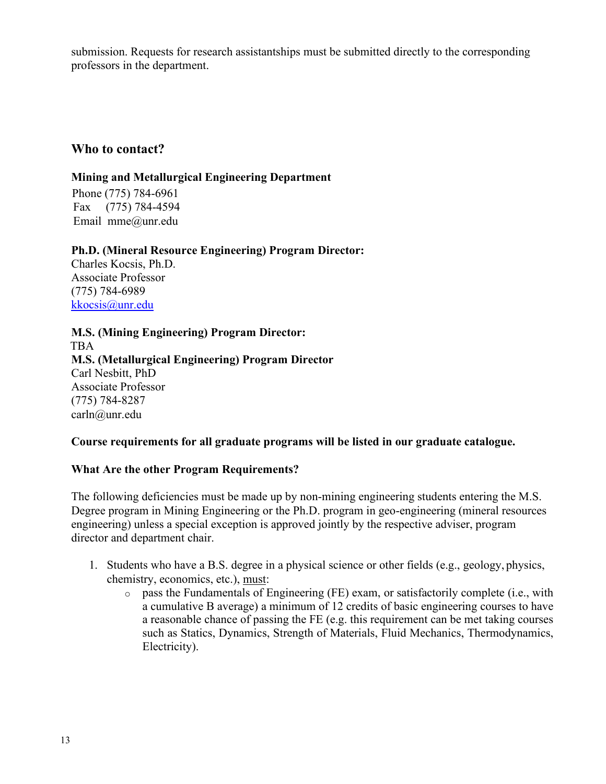submission. Requests for research assistantships must be submitted directly to the corresponding professors in the department.

## **Who to contact?**

## **Mining and Metallurgical Engineering Department**

 Phone (775) 784-6961 Fax (775) 784-4594 Email mme@unr.edu

## **Ph.D. (Mineral Resource Engineering) Program Director:**

Charles Kocsis, Ph.D. Associate Professor (775) 784-6989 [kkocsis@unr.edu](mailto:kkocsis@unr.edu)

**M.S. (Mining Engineering) Program Director:** TBA **M.S. (Metallurgical Engineering) Program Director** Carl Nesbitt, PhD Associate Professor (775) 784-8287 [carln@unr.edu](mailto:carln@unr.edu)

## **Course requirements for all graduate programs will be listed in our graduate catalogue.**

## **What Are the other Program Requirements?**

The following deficiencies must be made up by non-mining engineering students entering the M.S. Degree program in Mining Engineering or the Ph.D. program in geo-engineering (mineral resources engineering) unless a special exception is approved jointly by the respective adviser, program director and department chair.

- 1. Students who have a B.S. degree in a physical science or other fields (e.g., geology, physics, chemistry, economics, etc.), must:
	- o pass the Fundamentals of Engineering (FE) exam, or satisfactorily complete (i.e., with a cumulative B average) a minimum of 12 credits of basic engineering courses to have a reasonable chance of passing the FE (e.g. this requirement can be met taking courses such as Statics, Dynamics, Strength of Materials, Fluid Mechanics, Thermodynamics, Electricity).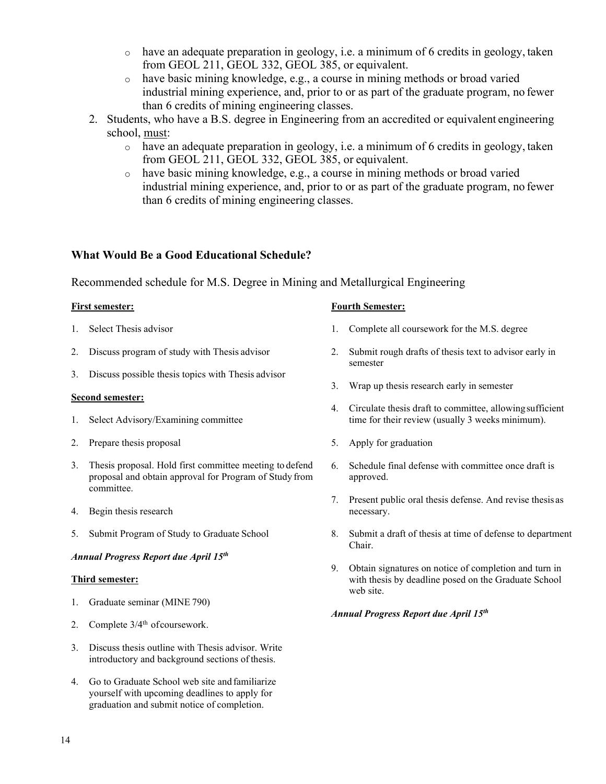- $\circ$  have an adequate preparation in geology, i.e. a minimum of 6 credits in geology, taken from GEOL 211, GEOL 332, GEOL 385, or equivalent.
- o have basic mining knowledge, e.g., a course in mining methods or broad varied industrial mining experience, and, prior to or as part of the graduate program, no fewer than 6 credits of mining engineering classes.
- 2. Students, who have a B.S. degree in Engineering from an accredited or equivalent engineering school, must:
	- o have an adequate preparation in geology, i.e. a minimum of 6 credits in geology, taken from GEOL 211, GEOL 332, GEOL 385, or equivalent.
	- o have basic mining knowledge, e.g., a course in mining methods or broad varied industrial mining experience, and, prior to or as part of the graduate program, no fewer than 6 credits of mining engineering classes.

## **What Would Be a Good Educational Schedule?**

Recommended schedule for M.S. Degree in Mining and Metallurgical Engineering

- 1. Select Thesis advisor
- 2. Discuss program of study with Thesis advisor
- 3. Discuss possible thesis topics with Thesis advisor

#### **Second semester:**

- 1. Select Advisory/Examining committee
- 2. Prepare thesis proposal
- 3. Thesis proposal. Hold first committee meeting to defend proposal and obtain approval for Program of Study from committee.
- 4. Begin thesis research
- 5. Submit Program of Study to Graduate School

#### *Annual Progress Report due April 15th*

#### **Third semester:**

- 1. Graduate seminar (MINE 790)
- 2. Complete  $3/4<sup>th</sup>$  of coursework.
- 3. Discuss thesis outline with Thesis advisor. Write introductory and background sections of thesis.
- 4. Go to Graduate School web site and familiarize yourself with upcoming deadlines to apply for graduation and submit notice of completion.

#### **First semester: Fourth Semester:**

- 1. Complete all coursework for the M.S. degree
- 2. Submit rough drafts of thesis text to advisor early in semester
- 3. Wrap up thesis research early in semester
- 4. Circulate thesis draft to committee, allowingsufficient time for their review (usually 3 weeks minimum).
- 5. Apply for graduation
- 6. Schedule final defense with committee once draft is approved.
- 7. Present public oral thesis defense. And revise thesis as necessary.
- 8. Submit a draft of thesis at time of defense to department Chair.
- 9. Obtain signatures on notice of completion and turn in with thesis by deadline posed on the Graduate School web site.

#### *Annual Progress Report due April 15th*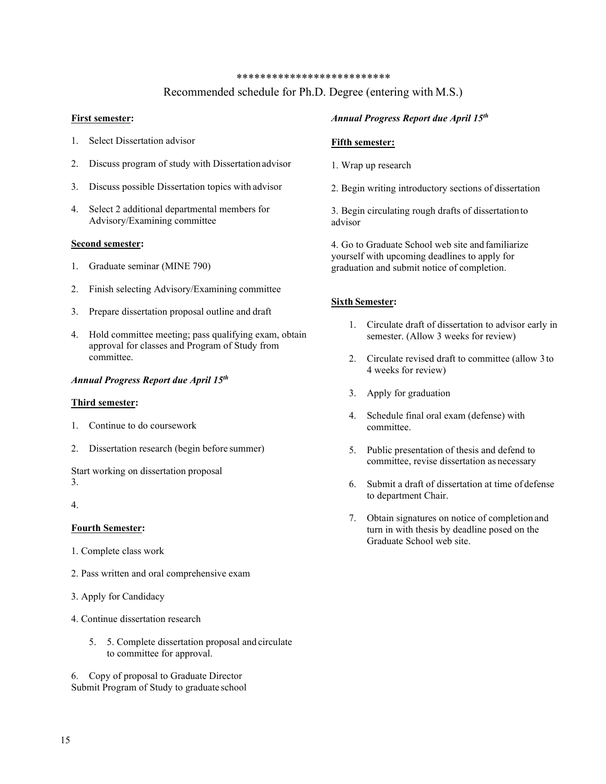#### \*\*\*\*\*\*\*\*\*\*\*\*\*\*\*\*\*\*\*\*\*\*\*\*\*\*

### Recommended schedule for Ph.D. Degree (entering with M.S.)

#### **First semester:**

- 1. Select Dissertation advisor
- 2. Discuss program of study with Dissertation advisor
- 3. Discuss possible Dissertation topics with advisor
- 4. Select 2 additional departmental members for Advisory/Examining committee

#### **Second semester:**

- 1. Graduate seminar (MINE 790)
- 2. Finish selecting Advisory/Examining committee
- 3. Prepare dissertation proposal outline and draft
- 4. Hold committee meeting; pass qualifying exam, obtain approval for classes and Program of Study from committee.

#### *Annual Progress Report due April 15th*

#### **Third semester:**

- 1. Continue to do coursework
- 2. Dissertation research (begin before summer)

Start working on dissertation proposal 3.

4.

#### **Fourth Semester:**

- 1. Complete class work
- 2. Pass written and oral comprehensive exam
- 3. Apply for Candidacy
- 4. Continue dissertation research
	- 5. 5. Complete dissertation proposal and circulate to committee for approval.

6. Copy of proposal to Graduate Director Submit Program of Study to graduate school

#### *Annual Progress Report due April 15th*

#### **Fifth semester:**

- 1. Wrap up research
- 2. Begin writing introductory sections of dissertation

3. Begin circulating rough drafts of dissertation to advisor

4. Go to Graduate School web site and familiarize yourself with upcoming deadlines to apply for graduation and submit notice of completion.

#### **Sixth Semester:**

- 1. Circulate draft of dissertation to advisor early in semester. (Allow 3 weeks for review)
- 2. Circulate revised draft to committee (allow 3 to 4 weeks for review)
- 3. Apply for graduation
- 4. Schedule final oral exam (defense) with committee.
- 5. Public presentation of thesis and defend to committee, revise dissertation as necessary
- 6. Submit a draft of dissertation at time of defense to department Chair.
- 7. Obtain signatures on notice of completion and turn in with thesis by deadline posed on the Graduate School web site.